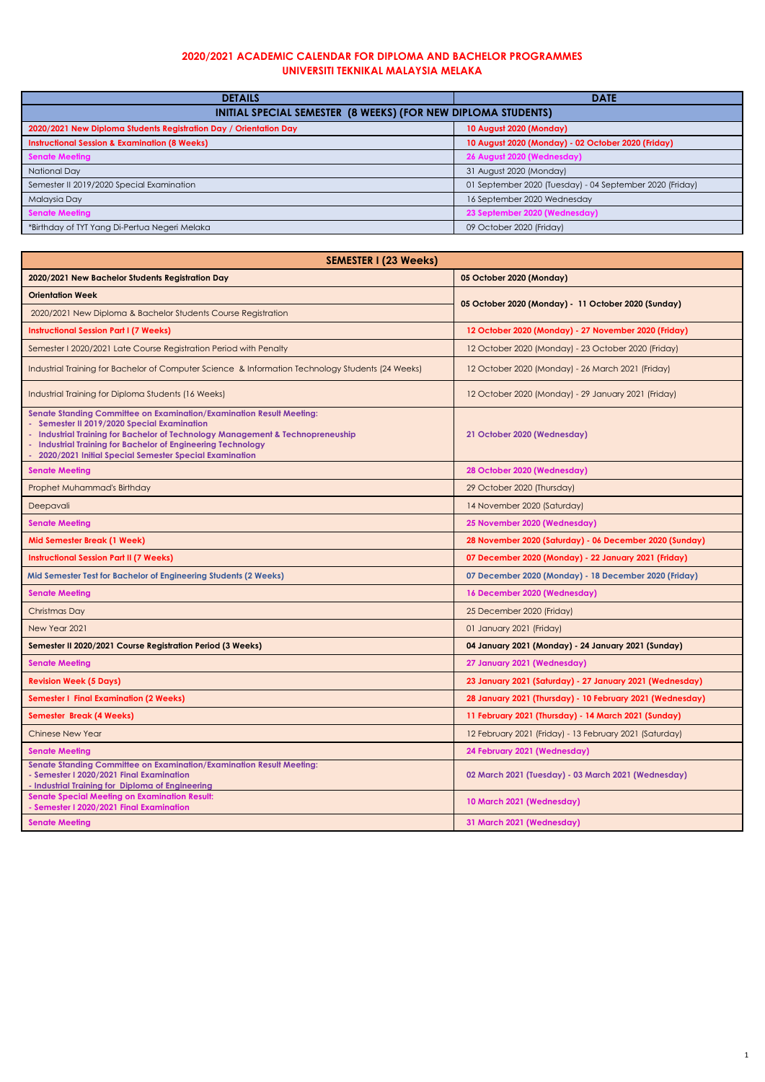| <b>DETAILS</b>                                                    | <b>DATE</b>                                              |  |
|-------------------------------------------------------------------|----------------------------------------------------------|--|
| INITIAL SPECIAL SEMESTER (8 WEEKS) (FOR NEW DIPLOMA STUDENTS)     |                                                          |  |
| 2020/2021 New Diploma Students Registration Day / Orientation Day | 10 August 2020 (Monday)                                  |  |
| <b>Instructional Session &amp; Examination (8 Weeks)</b>          | 10 August 2020 (Monday) - 02 October 2020 (Friday)       |  |
| <b>Senate Meeting</b>                                             | 26 August 2020 (Wednesday)                               |  |
| National Day                                                      | 31 August 2020 (Monday)                                  |  |
| Semester II 2019/2020 Special Examination                         | 01 September 2020 (Tuesday) - 04 September 2020 (Friday) |  |
| Malaysia Day                                                      | 16 September 2020 Wednesday                              |  |
| <b>Senate Meeting</b>                                             | 23 September 2020 (Wednesday)                            |  |
| *Birthday of TYT Yang Di-Pertua Negeri Melaka                     | 09 October 2020 (Friday)                                 |  |

| <b>SEMESTER I (23 Weeks)</b>                                                                                                                                                                                                                                                                                                                |                                                         |
|---------------------------------------------------------------------------------------------------------------------------------------------------------------------------------------------------------------------------------------------------------------------------------------------------------------------------------------------|---------------------------------------------------------|
| 2020/2021 New Bachelor Students Registration Day                                                                                                                                                                                                                                                                                            | 05 October 2020 (Monday)                                |
| <b>Orientation Week</b>                                                                                                                                                                                                                                                                                                                     | 05 October 2020 (Monday) - 11 October 2020 (Sunday)     |
| 2020/2021 New Diploma & Bachelor Students Course Registration                                                                                                                                                                                                                                                                               |                                                         |
| <b>Instructional Session Part I (7 Weeks)</b>                                                                                                                                                                                                                                                                                               | 12 October 2020 (Monday) - 27 November 2020 (Friday)    |
| Semester I 2020/2021 Late Course Registration Period with Penalty                                                                                                                                                                                                                                                                           | 12 October 2020 (Monday) - 23 October 2020 (Friday)     |
| Industrial Training for Bachelor of Computer Science & Information Technology Students (24 Weeks)                                                                                                                                                                                                                                           | 12 October 2020 (Monday) - 26 March 2021 (Friday)       |
| Industrial Training for Diploma Students (16 Weeks)                                                                                                                                                                                                                                                                                         | 12 October 2020 (Monday) - 29 January 2021 (Friday)     |
| Senate Standing Committee on Examination/Examination Result Meeting:<br>Semester II 2019/2020 Special Examination<br><b>Industrial Training for Bachelor of Technology Management &amp; Technopreneuship</b><br><b>Industrial Training for Bachelor of Engineering Technology</b><br>2020/2021 Initial Special Semester Special Examination | 21 October 2020 (Wednesday)                             |
| <b>Senate Meeting</b>                                                                                                                                                                                                                                                                                                                       | 28 October 2020 (Wednesday)                             |
| Prophet Muhammad's Birthday                                                                                                                                                                                                                                                                                                                 | 29 October 2020 (Thursday)                              |
| Deepavali                                                                                                                                                                                                                                                                                                                                   | 14 November 2020 (Saturday)                             |
| <b>Senate Meeting</b>                                                                                                                                                                                                                                                                                                                       | 25 November 2020 (Wednesday)                            |
| <b>Mid Semester Break (1 Week)</b>                                                                                                                                                                                                                                                                                                          | 28 November 2020 (Saturday) - 06 December 2020 (Sunday) |
| <b>Instructional Session Part II (7 Weeks)</b>                                                                                                                                                                                                                                                                                              | 07 December 2020 (Monday) - 22 January 2021 (Friday)    |
| Mid Semester Test for Bachelor of Engineering Students (2 Weeks)                                                                                                                                                                                                                                                                            | 07 December 2020 (Monday) - 18 December 2020 (Friday)   |
| <b>Senate Meeting</b>                                                                                                                                                                                                                                                                                                                       | 16 December 2020 (Wednesday)                            |
| Christmas Day                                                                                                                                                                                                                                                                                                                               | 25 December 2020 (Friday)                               |
| New Year 2021                                                                                                                                                                                                                                                                                                                               | 01 January 2021 (Friday)                                |
| Semester II 2020/2021 Course Registration Period (3 Weeks)                                                                                                                                                                                                                                                                                  | 04 January 2021 (Monday) - 24 January 2021 (Sunday)     |
| <b>Senate Meeting</b>                                                                                                                                                                                                                                                                                                                       | 27 January 2021 (Wednesday)                             |

| <b>Revision Week (5 Days)</b>                                                                                                                                               | 23 January 2021 (Saturday) - 27 January 2021 (Wednesday)  |
|-----------------------------------------------------------------------------------------------------------------------------------------------------------------------------|-----------------------------------------------------------|
| <b>Semester I Final Examination (2 Weeks)</b>                                                                                                                               | 28 January 2021 (Thursday) - 10 February 2021 (Wednesday) |
| <b>Semester Break (4 Weeks)</b>                                                                                                                                             | 11 February 2021 (Thursday) - 14 March 2021 (Sunday)      |
| <b>Chinese New Year</b>                                                                                                                                                     | 12 February 2021 (Friday) - 13 February 2021 (Saturday)   |
| <b>Senate Meeting</b>                                                                                                                                                       | 24 February 2021 (Wednesday)                              |
| <b>Senate Standing Committee on Examination/Examination Result Meeting:</b><br>- Semester I 2020/2021 Final Examination<br>- Industrial Training for Diploma of Engineering | 02 March 2021 (Tuesday) - 03 March 2021 (Wednesday)       |
| <b>Senate Special Meeting on Examination Result:</b><br>- Semester I 2020/2021 Final Examination                                                                            | 10 March 2021 (Wednesday)                                 |
| <b>Senate Meeting</b>                                                                                                                                                       | 31 March 2021 (Wednesday)                                 |

## **2020/2021 ACADEMIC CALENDAR FOR DIPLOMA AND BACHELOR PROGRAMMES UNIVERSITI TEKNIKAL MALAYSIA MELAKA**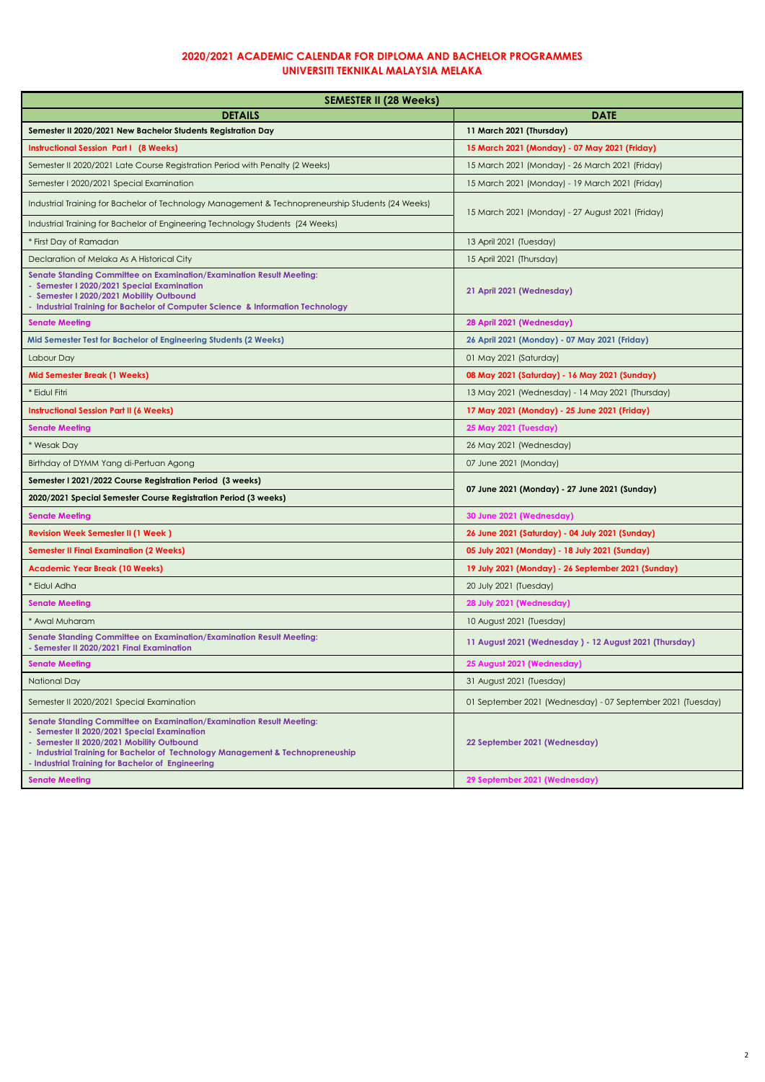## **2020/2021 ACADEMIC CALENDAR FOR DIPLOMA AND BACHELOR PROGRAMMES UNIVERSITI TEKNIKAL MALAYSIA MELAKA**

| <b>SEMESTER II (28 Weeks)</b>                                                                                                                                                                                                                                                                                  |                                                             |  |
|----------------------------------------------------------------------------------------------------------------------------------------------------------------------------------------------------------------------------------------------------------------------------------------------------------------|-------------------------------------------------------------|--|
| <b>DETAILS</b>                                                                                                                                                                                                                                                                                                 | <b>DATE</b>                                                 |  |
| Semester II 2020/2021 New Bachelor Students Registration Day                                                                                                                                                                                                                                                   | 11 March 2021 (Thursday)                                    |  |
| <b>Instructional Session Part I (8 Weeks)</b>                                                                                                                                                                                                                                                                  | 15 March 2021 (Monday) - 07 May 2021 (Friday)               |  |
| Semester II 2020/2021 Late Course Registration Period with Penalty (2 Weeks)                                                                                                                                                                                                                                   | 15 March 2021 (Monday) - 26 March 2021 (Friday)             |  |
| Semester I 2020/2021 Special Examination                                                                                                                                                                                                                                                                       | 15 March 2021 (Monday) - 19 March 2021 (Friday)             |  |
| Industrial Training for Bachelor of Technology Management & Technopreneurship Students (24 Weeks)                                                                                                                                                                                                              | 15 March 2021 (Monday) - 27 August 2021 (Friday)            |  |
| Industrial Training for Bachelor of Engineering Technology Students (24 Weeks)                                                                                                                                                                                                                                 |                                                             |  |
| * First Day of Ramadan                                                                                                                                                                                                                                                                                         | 13 April 2021 (Tuesday)                                     |  |
| Declaration of Melaka As A Historical City                                                                                                                                                                                                                                                                     | 15 April 2021 (Thursday)                                    |  |
| <b>Senate Standing Committee on Examination/Examination Result Meeting:</b><br>- Semester I 2020/2021 Special Examination<br>- Semester I 2020/2021 Mobility Outbound<br>- Industrial Training for Bachelor of Computer Science & Information Technology                                                       | 21 April 2021 (Wednesday)                                   |  |
| <b>Senate Meeting</b>                                                                                                                                                                                                                                                                                          | 28 April 2021 (Wednesday)                                   |  |
| Mid Semester Test for Bachelor of Engineering Students (2 Weeks)                                                                                                                                                                                                                                               | 26 April 2021 (Monday) - 07 May 2021 (Friday)               |  |
| Labour Day                                                                                                                                                                                                                                                                                                     | 01 May 2021 (Saturday)                                      |  |
| <b>Mid Semester Break (1 Weeks)</b>                                                                                                                                                                                                                                                                            | 08 May 2021 (Saturday) - 16 May 2021 (Sunday)               |  |
| * Eidul Fitri                                                                                                                                                                                                                                                                                                  | 13 May 2021 (Wednesday) - 14 May 2021 (Thursday)            |  |
| <b>Instructional Session Part II (6 Weeks)</b>                                                                                                                                                                                                                                                                 | 17 May 2021 (Monday) - 25 June 2021 (Friday)                |  |
| <b>Senate Meeting</b>                                                                                                                                                                                                                                                                                          | <b>25 May 2021 (Tuesday)</b>                                |  |
| * Wesak Day                                                                                                                                                                                                                                                                                                    | 26 May 2021 (Wednesday)                                     |  |
| Birthday of DYMM Yang di-Pertuan Agong                                                                                                                                                                                                                                                                         | 07 June 2021 (Monday)                                       |  |
| Semester I 2021/2022 Course Registration Period (3 weeks)                                                                                                                                                                                                                                                      | 07 June 2021 (Monday) - 27 June 2021 (Sunday)               |  |
| 2020/2021 Special Semester Course Registration Period (3 weeks)                                                                                                                                                                                                                                                |                                                             |  |
| <b>Senate Meeting</b>                                                                                                                                                                                                                                                                                          | 30 June 2021 (Wednesday)                                    |  |
| <b>Revision Week Semester II (1 Week )</b>                                                                                                                                                                                                                                                                     | 26 June 2021 (Saturday) - 04 July 2021 (Sunday)             |  |
| <b>Semester II Final Examination (2 Weeks)</b>                                                                                                                                                                                                                                                                 | 05 July 2021 (Monday) - 18 July 2021 (Sunday)               |  |
| <b>Academic Year Break (10 Weeks)</b>                                                                                                                                                                                                                                                                          | 19 July 2021 (Monday) - 26 September 2021 (Sunday)          |  |
| * Eidul Adha                                                                                                                                                                                                                                                                                                   | 20 July 2021 (Tuesday)                                      |  |
| <b>Senate Meeting</b>                                                                                                                                                                                                                                                                                          | 28 July 2021 (Wednesday)                                    |  |
| * Awal Muharam                                                                                                                                                                                                                                                                                                 | 10 August 2021 (Tuesday)                                    |  |
| <b>Senate Standing Committee on Examination/Examination Result Meeting:</b><br>- Semester II 2020/2021 Final Examination                                                                                                                                                                                       | 11 August 2021 (Wednesday) - 12 August 2021 (Thursday)      |  |
| <b>Senate Meeting</b>                                                                                                                                                                                                                                                                                          | 25 August 2021 (Wednesday)                                  |  |
| <b>National Day</b>                                                                                                                                                                                                                                                                                            | 31 August 2021 (Tuesday)                                    |  |
| Semester II 2020/2021 Special Examination                                                                                                                                                                                                                                                                      | 01 September 2021 (Wednesday) - 07 September 2021 (Tuesday) |  |
| <b>Senate Standing Committee on Examination/Examination Result Meeting:</b><br>- Semester II 2020/2021 Special Examination<br>- Semester II 2020/2021 Mobility Outbound<br>- Industrial Training for Bachelor of Technology Management & Technopreneuship<br>- Industrial Training for Bachelor of Engineering | 22 September 2021 (Wednesday)                               |  |
| <b>Senate Meeting</b>                                                                                                                                                                                                                                                                                          | 29 September 2021 (Wednesday)                               |  |